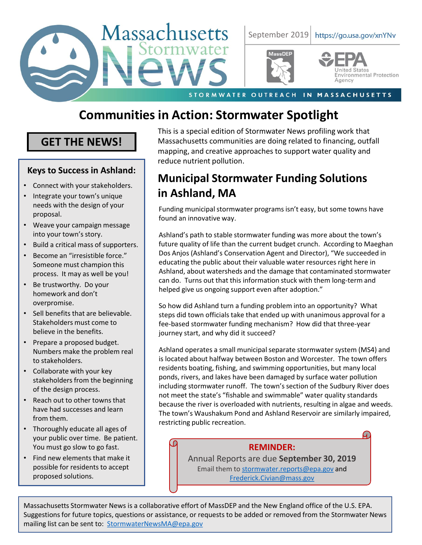

# **Communities in Action: Stormwater Spotlight**

### **GET THE NEWS!**

### **Keys to Success in Ashland:**

- Connect with your stakeholders.
- Integrate your town's unique needs with the design of your proposal.
- Weave your campaign message into your town's story.
- Build a critical mass of supporters.
- Become an "irresistible force." Someone must champion this process. It may as well be you!
- Be trustworthy. Do your homework and don't overpromise.
- Sell benefits that are believable. Stakeholders must come to believe in the benefits.
- Prepare a proposed budget. Numbers make the problem real to stakeholders.
- Collaborate with your key stakeholders from the beginning of the design process.
- Reach out to other towns that have had successes and learn from them.
- Thoroughly educate all ages of your public over time. Be patient. You must go slow to go fast.
- Find new elements that make it possible for residents to accept proposed solutions.

This is a special edition of Stormwater News profiling work that Massachusetts communities are doing related to financing, outfall mapping, and creative approaches to support water quality and reduce nutrient pollution.

## **Municipal Stormwater Funding Solutions in Ashland, MA**

Funding municipal stormwater programs isn't easy, but some towns have found an innovative way.

Ashland's path to stable stormwater funding was more about the town's future quality of life than the current budget crunch. According to Maeghan Dos Anjos (Ashland's Conservation Agent and Director), "We succeeded in educating the public about their valuable water resources right here in Ashland, about watersheds and the damage that contaminated stormwater can do. Turns out that this information stuck with them long-term and helped give us ongoing support even after adoption."

So how did Ashland turn a funding problem into an opportunity? What steps did town officials take that ended up with unanimous approval for a fee-based stormwater funding mechanism? How did that three-year journey start, and why did it succeed?

Ashland operates a small municipal separate stormwater system (MS4) and is located about halfway between Boston and Worcester. The town offers residents boating, fishing, and swimming opportunities, but many local ponds, rivers, and lakes have been damaged by surface water pollution including stormwater runoff. The town's section of the Sudbury River does not meet the state's "fishable and swimmable" water quality standards because the river is overloaded with nutrients, resulting in algae and weeds. The town's Waushakum Pond and Ashland Reservoir are similarly impaired, restricting public recreation.

### **REMINDER:**

Annual Reports are due **September 30, 2019** Email them to [stormwater.reports@epa.gov](mailto:stormwater.reports@epa.gov) and [Frederick.Civian@mass.gov](mailto:Frederick.Civian@mass.gov)

Massachusetts Stormwater News is a collaborative effort of MassDEP and the New England office of the U.S. EPA. Suggestions for future topics, questions or assistance, or requests to be added or removed from the Stormwater News mailing list can be sent to: [StormwaterNewsMA@epa.gov](mailto:StormwaterNewsMA@epa.gov)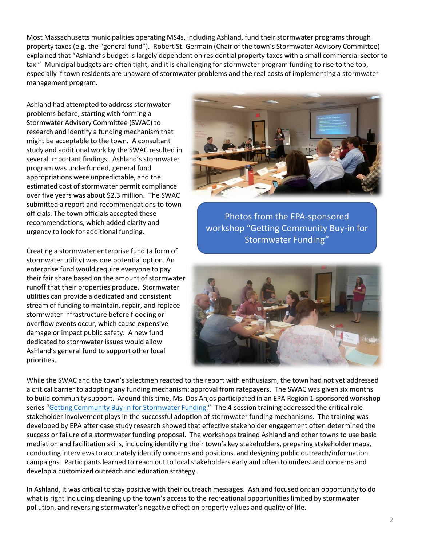Most Massachusetts municipalities operating MS4s, including Ashland, fund their stormwater programs through property taxes (e.g. the "general fund"). Robert St. Germain (Chair of the town's Stormwater Advisory Committee) explained that "Ashland's budget is largely dependent on residential property taxes with a small commercial sector to tax." Municipal budgets are often tight, and it is challenging for stormwater program funding to rise to the top, especially if town residents are unaware of stormwater problems and the real costs of implementing a stormwater management program.

Ashland had attempted to address stormwater problems before, starting with forming a Stormwater Advisory Committee (SWAC) to research and identify a funding mechanism that might be acceptable to the town. A consultant study and additional work by the SWAC resulted in several important findings. Ashland's stormwater program was underfunded, general fund appropriations were unpredictable, and the estimated cost of stormwater permit compliance over five years was about \$2.3 million. The SWAC submitted a report and recommendations to town officials. The town officials accepted these recommendations, which added clarity and urgency to look for additional funding.

Creating a stormwater enterprise fund (a form of stormwater utility) was one potential option. An enterprise fund would require everyone to pay their fair share based on the amount of stormwater runoff that their properties produce. Stormwater utilities can provide a dedicated and consistent stream of funding to maintain, repair, and replace stormwater infrastructure before flooding or overflow events occur, which cause expensive damage or impact public safety. A new fund dedicated to stormwater issues would allow Ashland's general fund to support other local priorities.



Photos from the EPA-sponsored workshop "Getting Community Buy-in for Stormwater Funding"



While the SWAC and the town's selectmen reacted to the report with enthusiasm, the town had not yet addressed a critical barrier to adopting any funding mechanism: approval from ratepayers. The SWAC was given six months to build community support. Around this time, Ms. Dos Anjos participated in an EPA Region 1-sponsored workshop series "[Getting Community Buy-in for Stormwater Funding](https://cfpub.epa.gov/si/si_public_record_report.cfm?Lab=NHEERL&dirEntryId=346132)." The 4-session training addressed the critical role stakeholder involvement plays in the successful adoption of stormwater funding mechanisms. The training was developed by EPA after case study research showed that effective stakeholder engagement often determined the success or failure of a stormwater funding proposal. The workshops trained Ashland and other towns to use basic mediation and facilitation skills, including identifying their town's key stakeholders, preparing stakeholder maps, conducting interviews to accurately identify concerns and positions, and designing public outreach/information campaigns. Participants learned to reach out to local stakeholders early and often to understand concerns and develop a customized outreach and education strategy.

In Ashland, it was critical to stay positive with their outreach messages. Ashland focused on: an opportunity to do what is right including cleaning up the town's access to the recreational opportunities limited by stormwater pollution, and reversing stormwater's negative effect on property values and quality of life.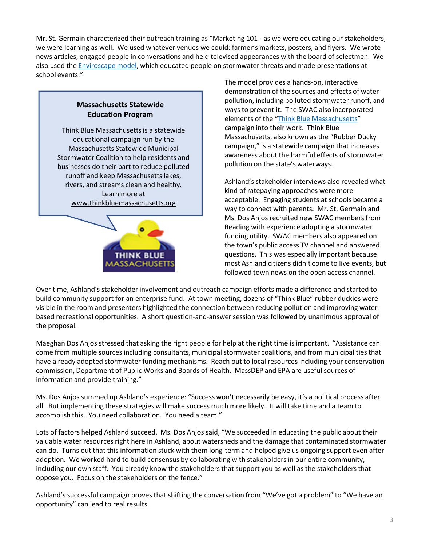Mr. St. Germain characterized their outreach training as "Marketing 101 - as we were educating our stakeholders, we were learning as well. We used whatever venues we could: farmer's markets, posters, and flyers. We wrote news articles, engaged people in conversations and held televised appearances with the board of selectmen. We also used the [Enviroscape model,](https://www.enviroscapes.com/product/watershed-nonpoint-source-model/hands-on-models) which educated people on stormwater threats and made presentations at school events."

### **Massachusetts Statewide Education Program**

Think Blue Massachusetts is a statewide educational campaign run by the Massachusetts Statewide Municipal Stormwater Coalition to help residents and businesses do their part to reduce polluted runoff and keep Massachusetts lakes, rivers, and streams clean and healthy. Learn more at [www.thinkbluemassachusetts.org](http://www.thinkbluemassachusetts.org/)



The model provides a hands-on, interactive demonstration of the sources and effects of water pollution, including polluted stormwater runoff, and ways to prevent it. The SWAC also incorporated elements of the "[Think Blue Massachusetts](https://www.mma.org/think-blue-massachusetts-launches-stormwater-education-campaign/)" campaign into their work. Think Blue Massachusetts, also known as the "Rubber Ducky campaign," is a statewide campaign that increases awareness about the harmful effects of stormwater pollution on the state's waterways.

Ashland's stakeholder interviews also revealed what kind of ratepaying approaches were more acceptable. Engaging students at schools became a way to connect with parents. Mr. St. Germain and Ms. Dos Anjos recruited new SWAC members from Reading with experience adopting a stormwater funding utility. SWAC members also appeared on the town's public access TV channel and answered questions. This was especially important because most Ashland citizens didn't come to live events, but followed town news on the open access channel.

Over time, Ashland's stakeholder involvement and outreach campaign efforts made a difference and started to build community support for an enterprise fund. At town meeting, dozens of "Think Blue" rubber duckies were visible in the room and presenters highlighted the connection between reducing pollution and improving waterbased recreational opportunities. A short question-and-answer session was followed by unanimous approval of the proposal.

Maeghan Dos Anjos stressed that asking the right people for help at the right time is important. "Assistance can come from multiple sources including consultants, municipal stormwater coalitions, and from municipalities that have already adopted stormwater funding mechanisms. Reach out to local resources including your conservation commission, Department of Public Works and Boards of Health. MassDEP and EPA are useful sources of information and provide training."

Ms. Dos Anjos summed up Ashland's experience: "Success won't necessarily be easy, it's a political process after all. But implementing these strategies will make success much more likely. It will take time and a team to accomplish this. You need collaboration. You need a team."

Lots of factors helped Ashland succeed. Ms. Dos Anjos said, "We succeeded in educating the public about their valuable water resources right here in Ashland, about watersheds and the damage that contaminated stormwater can do. Turns out that this information stuck with them long-term and helped give us ongoing support even after adoption. We worked hard to build consensus by collaborating with stakeholders in our entire community, including our own staff. You already know the stakeholders that support you as well as the stakeholders that oppose you. Focus on the stakeholders on the fence."

Ashland's successful campaign proves that shifting the conversation from "We've got a problem" to "We have an opportunity" can lead to real results.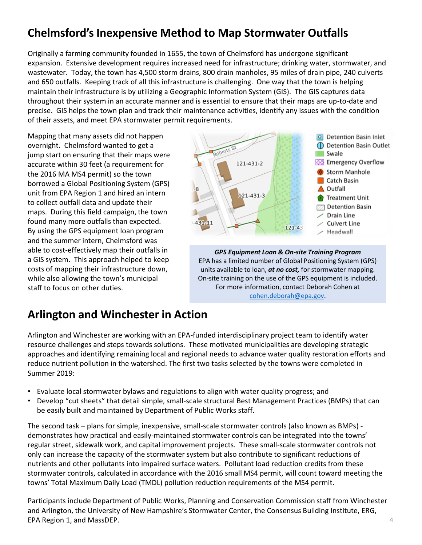## **Chelmsford's Inexpensive Method to Map Stormwater Outfalls**

Originally a farming community founded in 1655, the town of Chelmsford has undergone significant expansion. Extensive development requires increased need for infrastructure; drinking water, stormwater, and wastewater. Today, the town has 4,500 storm drains, 800 drain manholes, 95 miles of drain pipe, 240 culverts and 650 outfalls. Keeping track of all this infrastructure is challenging. One way that the town is helping maintain their infrastructure is by utilizing a Geographic Information System (GIS). The GIS captures data throughout their system in an accurate manner and is essential to ensure that their maps are up-to-date and precise. GIS helps the town plan and track their maintenance activities, identify any issues with the condition of their assets, and meet EPA stormwater permit requirements.

Mapping that many assets did not happen overnight. Chelmsford wanted to get a jump start on ensuring that their maps were accurate within 30 feet (a requirement for the 2016 MA MS4 permit) so the town borrowed a Global Positioning System (GPS) unit from EPA Region 1 and hired an intern to collect outfall data and update their maps. During this field campaign, the town found many more outfalls than expected. By using the GPS equipment loan program and the summer intern, Chelmsford was able to cost-effectively map their outfalls in a GIS system. This approach helped to keep costs of mapping their infrastructure down, while also allowing the town's municipal staff to focus on other duties.



*GPS Equipment Loan & On-site Training Program* EPA has a limited number of Global Positioning System (GPS) units available to loan, *at no cost,* for stormwater mapping. On-site training on the use of the GPS equipment is included. For more information, contact Deborah Cohen at [cohen.deborah@epa.gov](mailto:cohen.deborah@epa.gov).

## **Arlington and Winchester in Action**

Arlington and Winchester are working with an EPA-funded interdisciplinary project team to identify water resource challenges and steps towards solutions. These motivated municipalities are developing strategic approaches and identifying remaining local and regional needs to advance water quality restoration efforts and reduce nutrient pollution in the watershed. The first two tasks selected by the towns were completed in Summer 2019:

- Evaluate local stormwater bylaws and regulations to align with water quality progress; and
- Develop "cut sheets" that detail simple, small-scale structural Best Management Practices (BMPs) that can be easily built and maintained by Department of Public Works staff.

The second task – plans for simple, inexpensive, small-scale stormwater controls (also known as BMPs) demonstrates how practical and easily-maintained stormwater controls can be integrated into the towns' regular street, sidewalk work, and capital improvement projects. These small-scale stormwater controls not only can increase the capacity of the stormwater system but also contribute to significant reductions of nutrients and other pollutants into impaired surface waters. Pollutant load reduction credits from these stormwater controls, calculated in accordance with the 2016 small MS4 permit, will count toward meeting the towns' Total Maximum Daily Load (TMDL) pollution reduction requirements of the MS4 permit.

Participants include Department of Public Works, Planning and Conservation Commission staff from Winchester and Arlington, the University of New Hampshire's Stormwater Center, the Consensus Building Institute, ERG, EPA Region 1, and MassDEP.